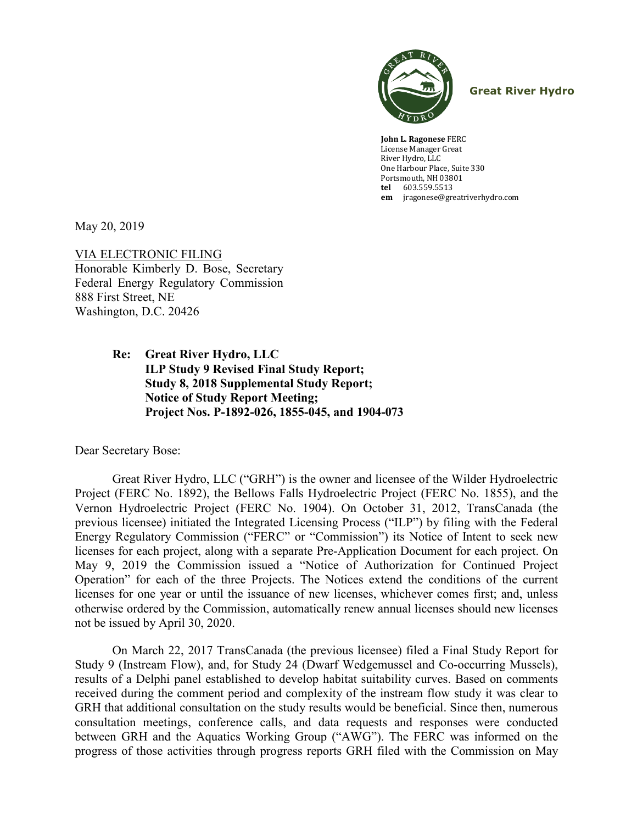

**Great River Hydro**

**John L. Ragonese** FERC License Manager Great River Hydro, LLC One Harbour Place, Suite 330 Portsmouth, NH 03801 **tel** 603.559.5513 **em** [jragonese@greatriverhydro.com](mailto:jragonese@greatriverhydro.com)

May 20, 2019

VIA ELECTRONIC FILING Honorable Kimberly D. Bose, Secretary Federal Energy Regulatory Commission 888 First Street, NE Washington, D.C. 20426

> **Re: Great River Hydro, LLC ILP Study 9 Revised Final Study Report; Study 8, 2018 Supplemental Study Report; Notice of Study Report Meeting; Project Nos. P-1892-026, 1855-045, and 1904-073**

Dear Secretary Bose:

Great River Hydro, LLC ("GRH") is the owner and licensee of the Wilder Hydroelectric Project (FERC No. 1892), the Bellows Falls Hydroelectric Project (FERC No. 1855), and the Vernon Hydroelectric Project (FERC No. 1904). On October 31, 2012, TransCanada (the previous licensee) initiated the Integrated Licensing Process ("ILP") by filing with the Federal Energy Regulatory Commission ("FERC" or "Commission") its Notice of Intent to seek new licenses for each project, along with a separate Pre-Application Document for each project. On May 9, 2019 the Commission issued a "Notice of Authorization for Continued Project Operation" for each of the three Projects. The Notices extend the conditions of the current licenses for one year or until the issuance of new licenses, whichever comes first; and, unless otherwise ordered by the Commission, automatically renew annual licenses should new licenses not be issued by April 30, 2020.

On March 22, 2017 TransCanada (the previous licensee) filed a Final Study Report for Study 9 (Instream Flow), and, for Study 24 (Dwarf Wedgemussel and Co-occurring Mussels), results of a Delphi panel established to develop habitat suitability curves. Based on comments received during the comment period and complexity of the instream flow study it was clear to GRH that additional consultation on the study results would be beneficial. Since then, numerous consultation meetings, conference calls, and data requests and responses were conducted between GRH and the Aquatics Working Group ("AWG"). The FERC was informed on the progress of those activities through progress reports GRH filed with the Commission on May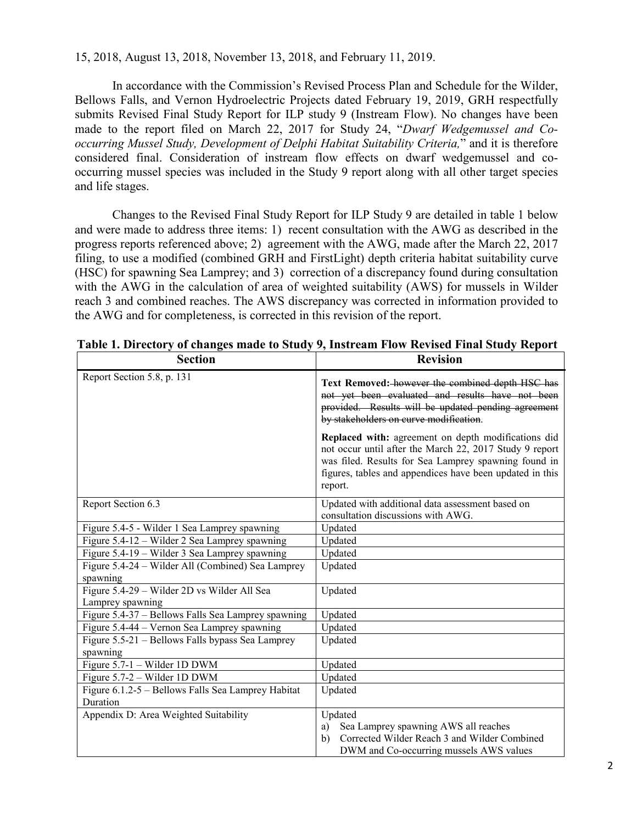15, 2018, August 13, 2018, November 13, 2018, and February 11, 2019.

In accordance with the Commission's Revised Process Plan and Schedule for the Wilder, Bellows Falls, and Vernon Hydroelectric Projects dated February 19, 2019, GRH respectfully submits Revised Final Study Report for ILP study 9 (Instream Flow). No changes have been made to the report filed on March 22, 2017 for Study 24, "*Dwarf Wedgemussel and Cooccurring Mussel Study, Development of Delphi Habitat Suitability Criteria,*" and it is therefore considered final. Consideration of instream flow effects on dwarf wedgemussel and cooccurring mussel species was included in the Study 9 report along with all other target species and life stages.

Changes to the Revised Final Study Report for ILP Study 9 are detailed in table 1 below and were made to address three items: 1) recent consultation with the AWG as described in the progress reports referenced above; 2) agreement with the AWG, made after the March 22, 2017 filing, to use a modified (combined GRH and FirstLight) depth criteria habitat suitability curve (HSC) for spawning Sea Lamprey; and 3) correction of a discrepancy found during consultation with the AWG in the calculation of area of weighted suitability (AWS) for mussels in Wilder reach 3 and combined reaches. The AWS discrepancy was corrected in information provided to the AWG and for completeness, is corrected in this revision of the report.

| <b>Section</b>                                                  | <b>Revision</b>                                                                                                                                                                                                                               |
|-----------------------------------------------------------------|-----------------------------------------------------------------------------------------------------------------------------------------------------------------------------------------------------------------------------------------------|
| Report Section 5.8, p. 131                                      | Text Removed: however the combined depth HSC has<br>not yet been evaluated and results have not been<br>provided. Results will be updated pending agreement<br>by stakeholders on curve modification.                                         |
|                                                                 | Replaced with: agreement on depth modifications did<br>not occur until after the March 22, 2017 Study 9 report<br>was filed. Results for Sea Lamprey spawning found in<br>figures, tables and appendices have been updated in this<br>report. |
| Report Section 6.3                                              | Updated with additional data assessment based on<br>consultation discussions with AWG.                                                                                                                                                        |
| Figure 5.4-5 - Wilder 1 Sea Lamprey spawning                    | Updated                                                                                                                                                                                                                                       |
| Figure $5.4$ -12 – Wilder 2 Sea Lamprey spawning                | Updated                                                                                                                                                                                                                                       |
| Figure 5.4-19 – Wilder 3 Sea Lamprey spawning                   | Updated                                                                                                                                                                                                                                       |
| Figure 5.4-24 - Wilder All (Combined) Sea Lamprey<br>spawning   | Updated                                                                                                                                                                                                                                       |
| Figure 5.4-29 - Wilder 2D vs Wilder All Sea<br>Lamprey spawning | Updated                                                                                                                                                                                                                                       |
| Figure 5.4-37 - Bellows Falls Sea Lamprey spawning              | Updated                                                                                                                                                                                                                                       |
| Figure 5.4-44 - Vernon Sea Lamprey spawning                     | Updated                                                                                                                                                                                                                                       |
| Figure 5.5-21 - Bellows Falls bypass Sea Lamprey<br>spawning    | Updated                                                                                                                                                                                                                                       |
| Figure $5.7-1$ – Wilder 1D DWM                                  | Updated                                                                                                                                                                                                                                       |
| Figure 5.7-2 – Wilder 1D DWM                                    | Updated                                                                                                                                                                                                                                       |
| Figure 6.1.2-5 - Bellows Falls Sea Lamprey Habitat<br>Duration  | Updated                                                                                                                                                                                                                                       |
| Appendix D: Area Weighted Suitability                           | Updated                                                                                                                                                                                                                                       |
|                                                                 | Sea Lamprey spawning AWS all reaches<br>a)                                                                                                                                                                                                    |
|                                                                 | Corrected Wilder Reach 3 and Wilder Combined<br>b)                                                                                                                                                                                            |
|                                                                 | DWM and Co-occurring mussels AWS values                                                                                                                                                                                                       |

**Table 1. Directory of changes made to Study 9, Instream Flow Revised Final Study Report**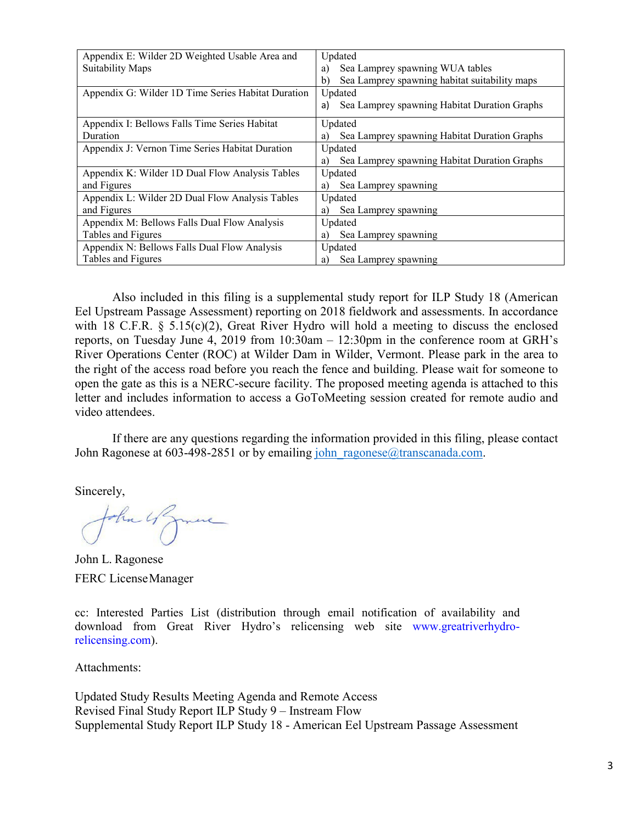| Appendix E: Wilder 2D Weighted Usable Area and     | Updated                                             |
|----------------------------------------------------|-----------------------------------------------------|
| <b>Suitability Maps</b>                            | Sea Lamprey spawning WUA tables<br>a)               |
|                                                    | Sea Lamprey spawning habitat suitability maps<br>b) |
| Appendix G: Wilder 1D Time Series Habitat Duration | Updated                                             |
|                                                    | Sea Lamprey spawning Habitat Duration Graphs<br>a)  |
| Appendix I: Bellows Falls Time Series Habitat      | Updated                                             |
| Duration                                           | Sea Lamprey spawning Habitat Duration Graphs<br>a)  |
| Appendix J: Vernon Time Series Habitat Duration    | Updated                                             |
|                                                    | Sea Lamprey spawning Habitat Duration Graphs<br>a)  |
| Appendix K: Wilder 1D Dual Flow Analysis Tables    | Updated                                             |
| and Figures                                        | Sea Lamprey spawning<br>a)                          |
| Appendix L: Wilder 2D Dual Flow Analysis Tables    | Updated                                             |
| and Figures                                        | Sea Lamprey spawning<br>a)                          |
| Appendix M: Bellows Falls Dual Flow Analysis       | Updated                                             |
| Tables and Figures                                 | Sea Lamprey spawning<br>a)                          |
| Appendix N: Bellows Falls Dual Flow Analysis       | Updated                                             |
| Tables and Figures                                 | Sea Lamprey spawning<br>a)                          |

Also included in this filing is a supplemental study report for ILP Study 18 (American Eel Upstream Passage Assessment) reporting on 2018 fieldwork and assessments. In accordance with 18 C.F.R. § 5.15(c)(2), Great River Hydro will hold a meeting to discuss the enclosed reports, on Tuesday June 4, 2019 from 10:30am – 12:30pm in the conference room at GRH's River Operations Center (ROC) at Wilder Dam in Wilder, Vermont. Please park in the area to the right of the access road before you reach the fence and building. Please wait for someone to open the gate as this is a NERC-secure facility. The proposed meeting agenda is attached to this letter and includes information to access a GoToMeeting session created for remote audio and video attendees.

If there are any questions regarding the information provided in this filing, please contact John Ragonese at 603-498-2851 or by emailing john ragonese@transcanada.com.

Sincerely,

John 4 June

John L. Ragonese FERC LicenseManager

cc: Interested Parties List (distribution through email notification of availability and download from Great River Hydro's relicensing web site www.greatriverhydrorelicensing.com).

Attachments:

Updated Study Results Meeting Agenda and Remote Access Revised Final Study Report ILP Study 9 – Instream Flow Supplemental Study Report ILP Study 18 - American Eel Upstream Passage Assessment